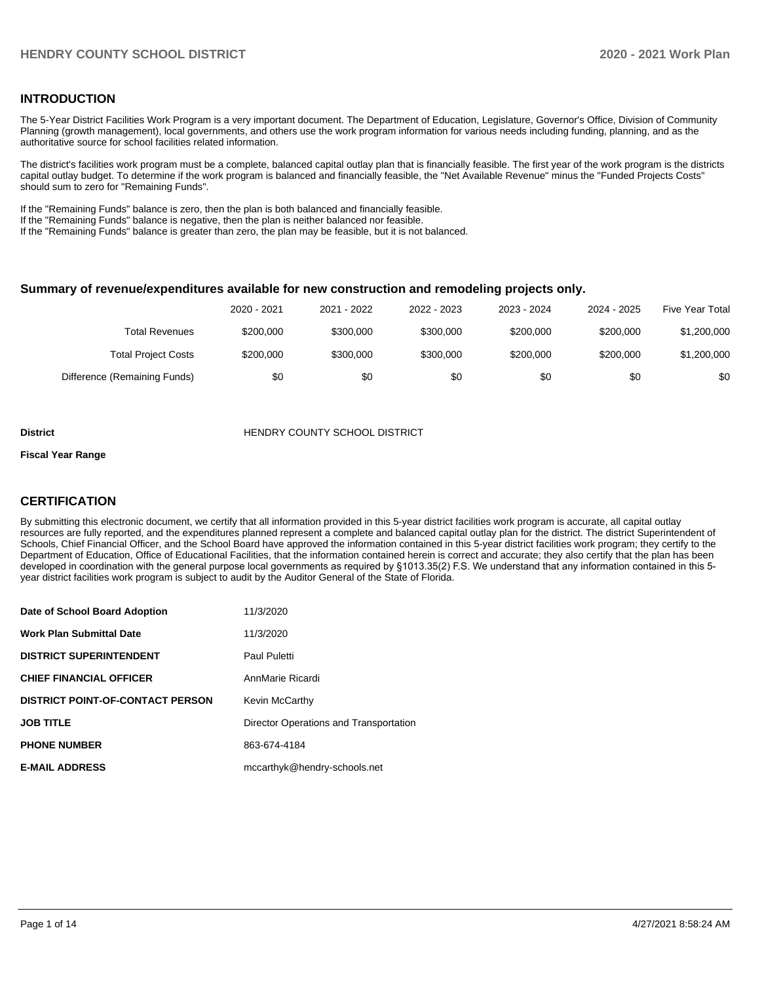#### **INTRODUCTION**

The 5-Year District Facilities Work Program is a very important document. The Department of Education, Legislature, Governor's Office, Division of Community Planning (growth management), local governments, and others use the work program information for various needs including funding, planning, and as the authoritative source for school facilities related information.

The district's facilities work program must be a complete, balanced capital outlay plan that is financially feasible. The first year of the work program is the districts capital outlay budget. To determine if the work program is balanced and financially feasible, the "Net Available Revenue" minus the "Funded Projects Costs" should sum to zero for "Remaining Funds".

If the "Remaining Funds" balance is zero, then the plan is both balanced and financially feasible.

If the "Remaining Funds" balance is negative, then the plan is neither balanced nor feasible.

If the "Remaining Funds" balance is greater than zero, the plan may be feasible, but it is not balanced.

#### **Summary of revenue/expenditures available for new construction and remodeling projects only.**

|                              | 2020 - 2021 | 2021 - 2022 | 2022 - 2023 | 2023 - 2024 | 2024 - 2025 | Five Year Total |
|------------------------------|-------------|-------------|-------------|-------------|-------------|-----------------|
| <b>Total Revenues</b>        | \$200,000   | \$300,000   | \$300,000   | \$200.000   | \$200,000   | \$1,200,000     |
| <b>Total Project Costs</b>   | \$200,000   | \$300,000   | \$300,000   | \$200,000   | \$200,000   | \$1,200,000     |
| Difference (Remaining Funds) | \$0         | \$0         | \$0         | \$0         | \$0         | \$0             |

#### **District COUNTY SCHOOL DISTRICT**

#### **Fiscal Year Range**

### **CERTIFICATION**

By submitting this electronic document, we certify that all information provided in this 5-year district facilities work program is accurate, all capital outlay resources are fully reported, and the expenditures planned represent a complete and balanced capital outlay plan for the district. The district Superintendent of Schools, Chief Financial Officer, and the School Board have approved the information contained in this 5-year district facilities work program; they certify to the Department of Education, Office of Educational Facilities, that the information contained herein is correct and accurate; they also certify that the plan has been developed in coordination with the general purpose local governments as required by §1013.35(2) F.S. We understand that any information contained in this 5 year district facilities work program is subject to audit by the Auditor General of the State of Florida.

| Date of School Board Adoption           | 11/3/2020                              |
|-----------------------------------------|----------------------------------------|
| Work Plan Submittal Date                | 11/3/2020                              |
| <b>DISTRICT SUPERINTENDENT</b>          | Paul Puletti                           |
| <b>CHIEF FINANCIAL OFFICER</b>          | AnnMarie Ricardi                       |
| <b>DISTRICT POINT-OF-CONTACT PERSON</b> | Kevin McCarthy                         |
| JOB TITLE                               | Director Operations and Transportation |
| <b>PHONE NUMBER</b>                     | 863-674-4184                           |
| <b>E-MAIL ADDRESS</b>                   | mccarthyk@hendry-schools.net           |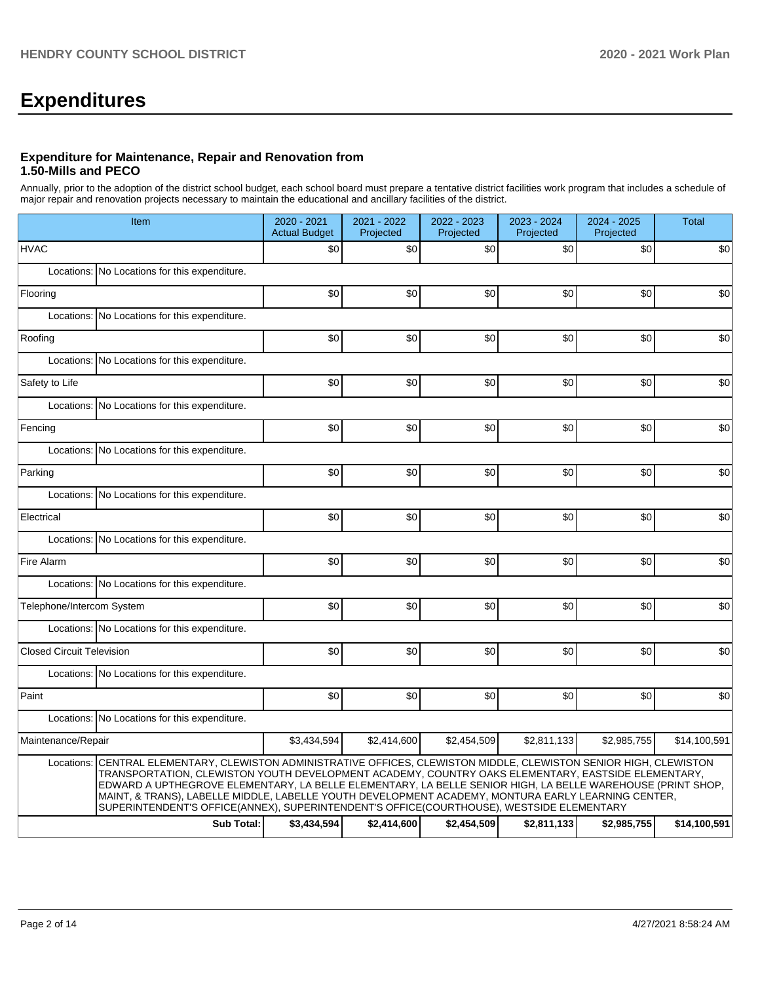# **Expenditures**

#### **Expenditure for Maintenance, Repair and Renovation from 1.50-Mills and PECO**

Annually, prior to the adoption of the district school budget, each school board must prepare a tentative district facilities work program that includes a schedule of major repair and renovation projects necessary to maintain the educational and ancillary facilities of the district.

|                                  | Item                                                                                                                                                                                                                                                                                                                                                                                                                                                                                                                                      | 2020 - 2021<br><b>Actual Budget</b> | 2021 - 2022<br>Projected | 2022 - 2023<br>Projected | 2023 - 2024<br>Projected | 2024 - 2025<br>Projected | Total        |  |  |  |
|----------------------------------|-------------------------------------------------------------------------------------------------------------------------------------------------------------------------------------------------------------------------------------------------------------------------------------------------------------------------------------------------------------------------------------------------------------------------------------------------------------------------------------------------------------------------------------------|-------------------------------------|--------------------------|--------------------------|--------------------------|--------------------------|--------------|--|--|--|
| <b>HVAC</b>                      |                                                                                                                                                                                                                                                                                                                                                                                                                                                                                                                                           | \$0                                 | \$0                      | \$0                      | \$0                      | \$0                      | \$0          |  |  |  |
|                                  | Locations: No Locations for this expenditure.                                                                                                                                                                                                                                                                                                                                                                                                                                                                                             |                                     |                          |                          |                          |                          |              |  |  |  |
| Flooring                         |                                                                                                                                                                                                                                                                                                                                                                                                                                                                                                                                           | \$0                                 | \$0                      | \$0                      | \$0                      | \$0                      | \$0          |  |  |  |
| Locations:                       | No Locations for this expenditure.                                                                                                                                                                                                                                                                                                                                                                                                                                                                                                        |                                     |                          |                          |                          |                          |              |  |  |  |
| Roofing                          |                                                                                                                                                                                                                                                                                                                                                                                                                                                                                                                                           | \$0                                 | \$0                      | \$0                      | \$0                      | \$0                      | \$0          |  |  |  |
|                                  | Locations: No Locations for this expenditure.                                                                                                                                                                                                                                                                                                                                                                                                                                                                                             |                                     |                          |                          |                          |                          |              |  |  |  |
| Safety to Life                   |                                                                                                                                                                                                                                                                                                                                                                                                                                                                                                                                           | \$0                                 | \$0                      | \$0                      | \$0                      | \$0                      | \$0          |  |  |  |
|                                  | Locations: No Locations for this expenditure.                                                                                                                                                                                                                                                                                                                                                                                                                                                                                             |                                     |                          |                          |                          |                          |              |  |  |  |
| Fencing                          |                                                                                                                                                                                                                                                                                                                                                                                                                                                                                                                                           | \$0                                 | \$0                      | \$0                      | \$0                      | \$0                      | \$0          |  |  |  |
|                                  | Locations: No Locations for this expenditure.                                                                                                                                                                                                                                                                                                                                                                                                                                                                                             |                                     |                          |                          |                          |                          |              |  |  |  |
| Parking                          |                                                                                                                                                                                                                                                                                                                                                                                                                                                                                                                                           | \$0                                 | \$0                      | \$0                      | \$0                      | \$0                      | \$0          |  |  |  |
|                                  | Locations: No Locations for this expenditure.                                                                                                                                                                                                                                                                                                                                                                                                                                                                                             |                                     |                          |                          |                          |                          |              |  |  |  |
| Electrical                       |                                                                                                                                                                                                                                                                                                                                                                                                                                                                                                                                           | \$0                                 | \$0                      | \$0                      | \$0                      | \$0                      | \$0          |  |  |  |
|                                  | Locations: No Locations for this expenditure.                                                                                                                                                                                                                                                                                                                                                                                                                                                                                             |                                     |                          |                          |                          |                          |              |  |  |  |
| Fire Alarm                       |                                                                                                                                                                                                                                                                                                                                                                                                                                                                                                                                           | \$0                                 | \$0                      | \$0                      | \$0                      | \$0                      | \$0          |  |  |  |
|                                  | Locations: No Locations for this expenditure.                                                                                                                                                                                                                                                                                                                                                                                                                                                                                             |                                     |                          |                          |                          |                          |              |  |  |  |
| Telephone/Intercom System        |                                                                                                                                                                                                                                                                                                                                                                                                                                                                                                                                           | \$0                                 | \$0                      | \$0                      | \$0 <sub>1</sub>         | \$0                      | \$0          |  |  |  |
|                                  | Locations: No Locations for this expenditure.                                                                                                                                                                                                                                                                                                                                                                                                                                                                                             |                                     |                          |                          |                          |                          |              |  |  |  |
| <b>Closed Circuit Television</b> |                                                                                                                                                                                                                                                                                                                                                                                                                                                                                                                                           | \$0                                 | \$0                      | \$0                      | \$0                      | \$0                      | \$0          |  |  |  |
|                                  | Locations: No Locations for this expenditure.                                                                                                                                                                                                                                                                                                                                                                                                                                                                                             |                                     |                          |                          |                          |                          |              |  |  |  |
| Paint                            |                                                                                                                                                                                                                                                                                                                                                                                                                                                                                                                                           | \$0                                 | \$0                      | \$0                      | \$0                      | \$0                      | \$0          |  |  |  |
|                                  | Locations: No Locations for this expenditure.                                                                                                                                                                                                                                                                                                                                                                                                                                                                                             |                                     |                          |                          |                          |                          |              |  |  |  |
| Maintenance/Repair               |                                                                                                                                                                                                                                                                                                                                                                                                                                                                                                                                           | \$3,434,594                         | \$2,414,600              | \$2,454,509              | \$2,811,133              | \$2,985,755              | \$14,100,591 |  |  |  |
|                                  | Locations: CENTRAL ELEMENTARY, CLEWISTON ADMINISTRATIVE OFFICES, CLEWISTON MIDDLE, CLEWISTON SENIOR HIGH, CLEWISTON<br>TRANSPORTATION, CLEWISTON YOUTH DEVELOPMENT ACADEMY, COUNTRY OAKS ELEMENTARY, EASTSIDE ELEMENTARY,<br>EDWARD A UPTHEGROVE ELEMENTARY, LA BELLE ELEMENTARY, LA BELLE SENIOR HIGH, LA BELLE WAREHOUSE (PRINT SHOP,<br>MAINT, & TRANS), LABELLE MIDDLE, LABELLE YOUTH DEVELOPMENT ACADEMY, MONTURA EARLY LEARNING CENTER,<br>SUPERINTENDENT'S OFFICE(ANNEX), SUPERINTENDENT'S OFFICE(COURTHOUSE), WESTSIDE ELEMENTARY |                                     |                          |                          |                          |                          |              |  |  |  |
|                                  | <b>Sub Total:</b>                                                                                                                                                                                                                                                                                                                                                                                                                                                                                                                         | \$3,434,594                         | \$2,414,600              | \$2,454,509              | \$2,811,133              | \$2,985,755              | \$14,100,591 |  |  |  |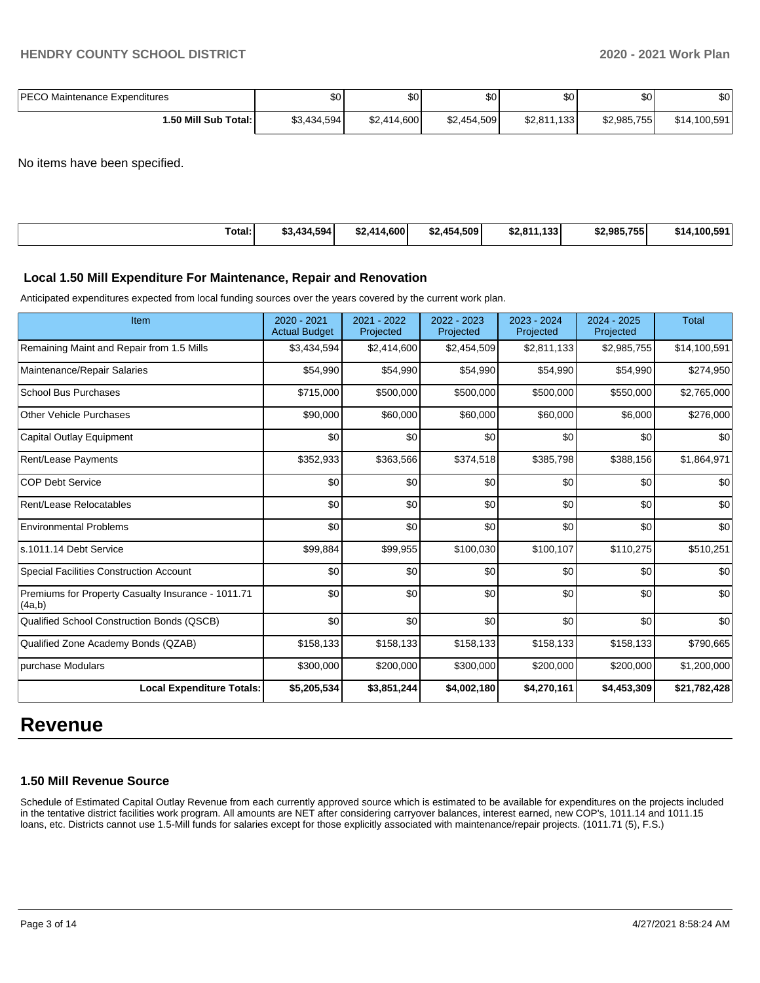| <b>PECO Maintenance Expenditures</b> | ጦጣ<br>ง∪    | ሶስ<br>JU.   | \$0 <sub>1</sub> | \$0         | ا 30        | \$0          |
|--------------------------------------|-------------|-------------|------------------|-------------|-------------|--------------|
| 1.50 Mill Sub Total: I               | \$3,434,594 | \$2,414,600 | \$2,454,509      | \$2,811,133 | \$2,985,755 | \$14,100,591 |

No items have been specified.

| Total:<br>. | \$3.434.594 | \$2,414,600 | \$2.454.509 | \$2,811,133 | \$2.985.755 | .100.591،<br>\$14 |
|-------------|-------------|-------------|-------------|-------------|-------------|-------------------|
|             |             |             |             |             |             |                   |

#### **Local 1.50 Mill Expenditure For Maintenance, Repair and Renovation**

Anticipated expenditures expected from local funding sources over the years covered by the current work plan.

| Item                                                         | 2020 - 2021<br><b>Actual Budget</b> | 2021 - 2022<br>Projected | 2022 - 2023<br>Projected | 2023 - 2024<br>Projected | $2024 - 2025$<br>Projected | <b>Total</b> |
|--------------------------------------------------------------|-------------------------------------|--------------------------|--------------------------|--------------------------|----------------------------|--------------|
| Remaining Maint and Repair from 1.5 Mills                    | \$3,434,594                         | \$2,414,600              | \$2,454,509              | \$2,811,133              | \$2,985,755                | \$14,100,591 |
| Maintenance/Repair Salaries                                  | \$54,990                            | \$54,990                 | \$54,990                 | \$54,990                 | \$54,990                   | \$274,950    |
| <b>School Bus Purchases</b>                                  | \$715,000                           | \$500,000                | \$500,000                | \$500,000                | \$550,000                  | \$2,765,000  |
| <b>Other Vehicle Purchases</b>                               | \$90,000                            | \$60,000                 | \$60,000                 | \$60,000                 | \$6,000                    | \$276,000    |
| <b>Capital Outlay Equipment</b>                              | \$0                                 | \$0                      | \$0                      | \$0                      | \$0                        | \$0          |
| Rent/Lease Payments                                          | \$352,933                           | \$363,566                | \$374,518                | \$385,798                | \$388,156                  | \$1,864,971  |
| <b>COP Debt Service</b>                                      | \$0                                 | \$0                      | \$0                      | \$0                      | \$0                        | \$0          |
| Rent/Lease Relocatables                                      | \$0                                 | \$0                      | \$0                      | \$0                      | \$0                        | \$0          |
| <b>Environmental Problems</b>                                | \$0                                 | \$0                      | \$0                      | \$0                      | \$0                        | \$0          |
| ls.1011.14 Debt Service                                      | \$99,884                            | \$99,955                 | \$100,030                | \$100,107                | \$110,275                  | \$510,251    |
| <b>Special Facilities Construction Account</b>               | \$0                                 | \$0                      | \$0                      | \$0                      | \$0                        | \$0          |
| Premiums for Property Casualty Insurance - 1011.71<br>(4a,b) | \$0                                 | \$0                      | \$0                      | \$0                      | \$0                        | \$0          |
| Qualified School Construction Bonds (QSCB)                   | \$0                                 | \$0                      | \$0                      | \$0                      | \$0                        | \$0          |
| Qualified Zone Academy Bonds (QZAB)                          | \$158,133                           | \$158,133                | \$158,133                | \$158,133                | \$158,133                  | \$790,665    |
| purchase Modulars                                            | \$300,000                           | \$200,000                | \$300,000                | \$200,000                | \$200,000                  | \$1,200,000  |
| <b>Local Expenditure Totals:</b>                             | \$5,205,534                         | \$3,851,244              | \$4,002,180              | \$4,270,161              | \$4,453,309                | \$21,782,428 |

# **Revenue**

### **1.50 Mill Revenue Source**

Schedule of Estimated Capital Outlay Revenue from each currently approved source which is estimated to be available for expenditures on the projects included in the tentative district facilities work program. All amounts are NET after considering carryover balances, interest earned, new COP's, 1011.14 and 1011.15 loans, etc. Districts cannot use 1.5-Mill funds for salaries except for those explicitly associated with maintenance/repair projects. (1011.71 (5), F.S.)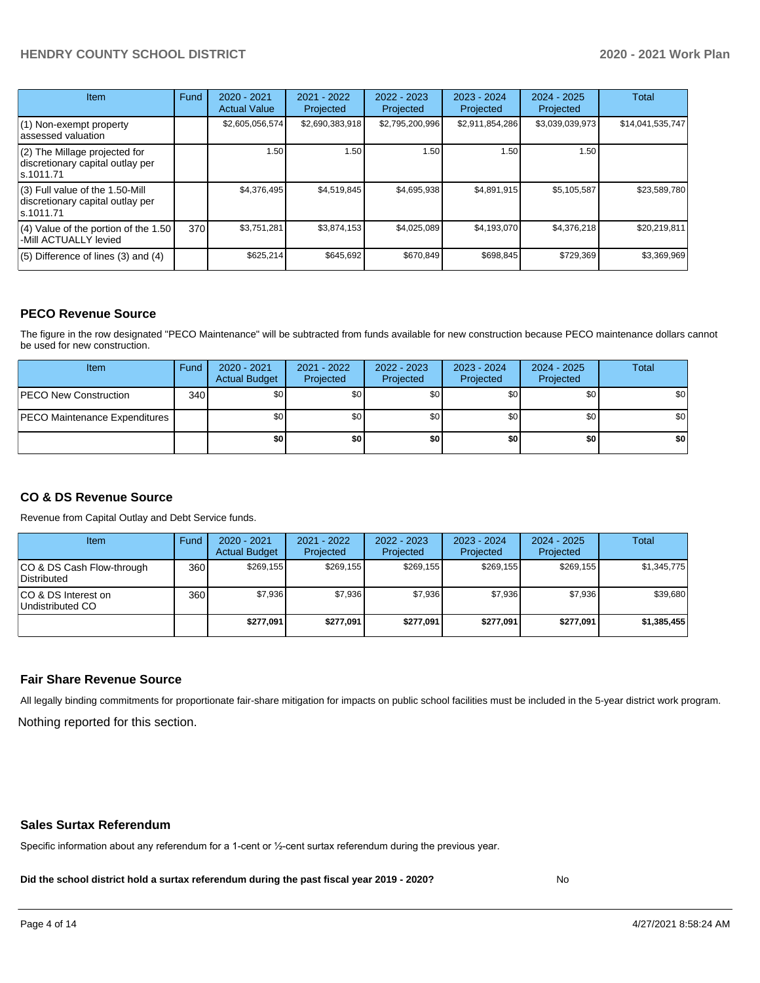# **HENDRY COUNTY SCHOOL DISTRICT 2020 - 2021 Work Plan**

| <b>Item</b>                                                                         | Fund | $2020 - 2021$<br><b>Actual Value</b> | $2021 - 2022$<br>Projected | $2022 - 2023$<br>Projected | $2023 - 2024$<br>Projected | $2024 - 2025$<br>Projected | Total            |
|-------------------------------------------------------------------------------------|------|--------------------------------------|----------------------------|----------------------------|----------------------------|----------------------------|------------------|
| (1) Non-exempt property<br>lassessed valuation                                      |      | \$2,605,056,574                      | \$2,690,383,918            | \$2,795,200,996            | \$2,911,854,286            | \$3,039,039,973            | \$14,041,535,747 |
| $(2)$ The Millage projected for<br>discretionary capital outlay per<br>ls.1011.71   |      | 1.50                                 | 1.50                       | 1.50                       | 1.50                       | 1.50                       |                  |
| $(3)$ Full value of the 1.50-Mill<br>discretionary capital outlay per<br>ls.1011.71 |      | \$4,376,495                          | \$4,519,845                | \$4,695,938                | \$4,891,915                | \$5,105,587                | \$23,589,780     |
| $(4)$ Value of the portion of the 1.50<br>-Mill ACTUALLY levied                     | 370  | \$3,751,281                          | \$3,874,153                | \$4,025,089                | \$4,193,070                | \$4,376,218                | \$20,219,811     |
| $(5)$ Difference of lines $(3)$ and $(4)$                                           |      | \$625,214                            | \$645,692                  | \$670.849                  | \$698,845                  | \$729,369                  | \$3,369,969      |

#### **PECO Revenue Source**

The figure in the row designated "PECO Maintenance" will be subtracted from funds available for new construction because PECO maintenance dollars cannot be used for new construction.

| Item                                 | Fund | $2020 - 2021$<br><b>Actual Budget</b> | 2021 - 2022<br>Projected | 2022 - 2023<br>Projected | 2023 - 2024<br>Projected | $2024 - 2025$<br>Projected | Total            |
|--------------------------------------|------|---------------------------------------|--------------------------|--------------------------|--------------------------|----------------------------|------------------|
| <b>IPECO New Construction</b>        | 340  | \$0                                   | \$0                      | \$0                      | \$0 <sub>1</sub>         | \$0                        | \$0 <sub>1</sub> |
| <b>PECO Maintenance Expenditures</b> |      | ا 30                                  | \$0                      | \$0                      | \$0 <sub>1</sub>         | \$0                        | \$0 <sub>1</sub> |
|                                      |      | \$0                                   | \$0                      | \$0                      | \$0                      | \$0                        | \$0              |

### **CO & DS Revenue Source**

Revenue from Capital Outlay and Debt Service funds.

| <b>Item</b>                              | Fund | $2020 - 2021$<br><b>Actual Budget</b> | 2021 - 2022<br>Projected | 2022 - 2023<br>Projected | $2023 - 2024$<br>Projected | $2024 - 2025$<br>Projected | Total       |
|------------------------------------------|------|---------------------------------------|--------------------------|--------------------------|----------------------------|----------------------------|-------------|
| CO & DS Cash Flow-through<br>Distributed | 360  | \$269.155                             | \$269.155                | \$269.155                | \$269.155                  | \$269.155                  | \$1,345,775 |
| ICO & DS Interest on<br>Undistributed CO | 360  | \$7.936                               | \$7.936                  | \$7.936                  | \$7.936                    | \$7,936                    | \$39,680    |
|                                          |      | \$277.091                             | \$277.091                | \$277.091                | \$277.091                  | \$277.091                  | \$1,385,455 |

#### **Fair Share Revenue Source**

Nothing reported for this section. All legally binding commitments for proportionate fair-share mitigation for impacts on public school facilities must be included in the 5-year district work program.

#### **Sales Surtax Referendum**

Specific information about any referendum for a 1-cent or ½-cent surtax referendum during the previous year.

**Did the school district hold a surtax referendum during the past fiscal year 2019 - 2020?**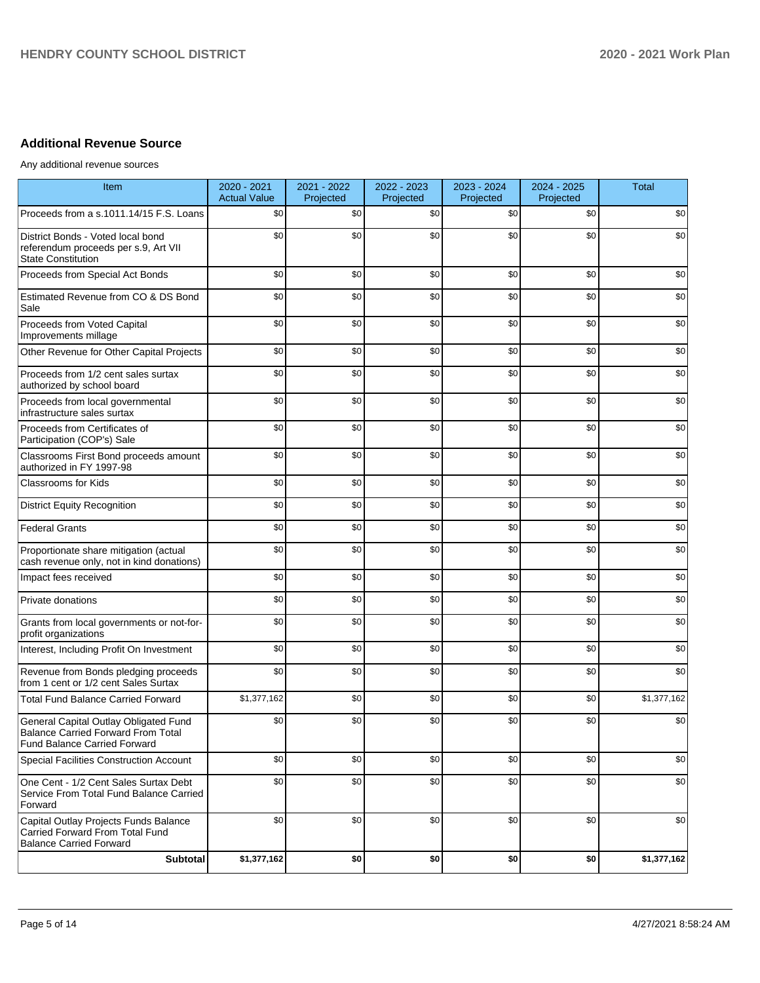# **Additional Revenue Source**

Any additional revenue sources

| Item                                                                                                                      | 2020 - 2021<br><b>Actual Value</b> | 2021 - 2022<br>Projected | 2022 - 2023<br>Projected | 2023 - 2024<br>Projected | 2024 - 2025<br>Projected | <b>Total</b> |
|---------------------------------------------------------------------------------------------------------------------------|------------------------------------|--------------------------|--------------------------|--------------------------|--------------------------|--------------|
| Proceeds from a s.1011.14/15 F.S. Loans                                                                                   | \$0                                | \$0                      | \$0                      | \$0                      | \$0                      | \$0          |
| District Bonds - Voted local bond<br>referendum proceeds per s.9, Art VII<br><b>State Constitution</b>                    | \$0                                | \$0                      | \$0                      | \$0                      | \$0                      | \$0          |
| Proceeds from Special Act Bonds                                                                                           | \$0                                | \$0                      | \$0                      | \$0                      | \$0                      | \$0          |
| Estimated Revenue from CO & DS Bond<br>Sale                                                                               | \$0                                | \$0                      | \$0                      | \$0                      | \$0                      | \$0          |
| Proceeds from Voted Capital<br>Improvements millage                                                                       | \$0                                | \$0                      | \$0                      | \$0                      | \$0                      | \$0          |
| Other Revenue for Other Capital Projects                                                                                  | \$0                                | \$0                      | \$0                      | \$0                      | \$0                      | \$0          |
| Proceeds from 1/2 cent sales surtax<br>authorized by school board                                                         | \$0                                | \$0                      | \$0                      | \$0                      | \$0                      | \$0          |
| Proceeds from local governmental<br>infrastructure sales surtax                                                           | \$0                                | \$0                      | \$0                      | \$0                      | \$0                      | \$0          |
| Proceeds from Certificates of<br>Participation (COP's) Sale                                                               | \$0                                | \$0                      | \$0                      | \$0                      | \$0                      | \$0          |
| Classrooms First Bond proceeds amount<br>authorized in FY 1997-98                                                         | \$0                                | \$0                      | \$0                      | \$0                      | \$0                      | \$0          |
| Classrooms for Kids                                                                                                       | \$0                                | \$0                      | \$0                      | \$0                      | \$0                      | \$0          |
| <b>District Equity Recognition</b>                                                                                        | \$0                                | \$0                      | \$0                      | \$0                      | \$0                      | \$0          |
| <b>Federal Grants</b>                                                                                                     | \$0                                | \$0                      | \$0                      | \$0                      | \$0                      | \$0          |
| Proportionate share mitigation (actual<br>cash revenue only, not in kind donations)                                       | \$0                                | \$0                      | \$0                      | \$0                      | \$0                      | \$0          |
| Impact fees received                                                                                                      | \$0                                | \$0                      | \$0                      | \$0                      | \$0                      | \$0          |
| Private donations                                                                                                         | \$0                                | \$0                      | \$0                      | \$0                      | \$0                      | \$0          |
| Grants from local governments or not-for-<br>profit organizations                                                         | \$0                                | \$0                      | \$0                      | \$0                      | \$0                      | \$0          |
| Interest, Including Profit On Investment                                                                                  | \$0                                | \$0                      | \$0                      | \$0                      | \$0                      | \$0          |
| Revenue from Bonds pledging proceeds<br>from 1 cent or 1/2 cent Sales Surtax                                              | \$0                                | \$0                      | \$0                      | \$0                      | \$0                      | \$0          |
| <b>Total Fund Balance Carried Forward</b>                                                                                 | \$1,377,162                        | \$0                      | \$0                      | \$0                      | \$0                      | \$1,377,162  |
| General Capital Outlay Obligated Fund<br><b>Balance Carried Forward From Total</b><br><b>Fund Balance Carried Forward</b> | \$0                                | \$0                      | \$0                      | \$0                      | \$0                      | \$0          |
| <b>Special Facilities Construction Account</b>                                                                            | \$0                                | \$0                      | \$0                      | \$0                      | \$0                      | \$0          |
| One Cent - 1/2 Cent Sales Surtax Debt<br>Service From Total Fund Balance Carried<br>Forward                               | \$0                                | \$0                      | \$0                      | \$0                      | \$0                      | \$0          |
| Capital Outlay Projects Funds Balance<br>Carried Forward From Total Fund<br><b>Balance Carried Forward</b>                | \$0                                | \$0                      | \$0                      | \$0                      | \$0                      | \$0          |
| Subtotal                                                                                                                  | \$1,377,162                        | \$0                      | \$0                      | \$0                      | \$0                      | \$1,377,162  |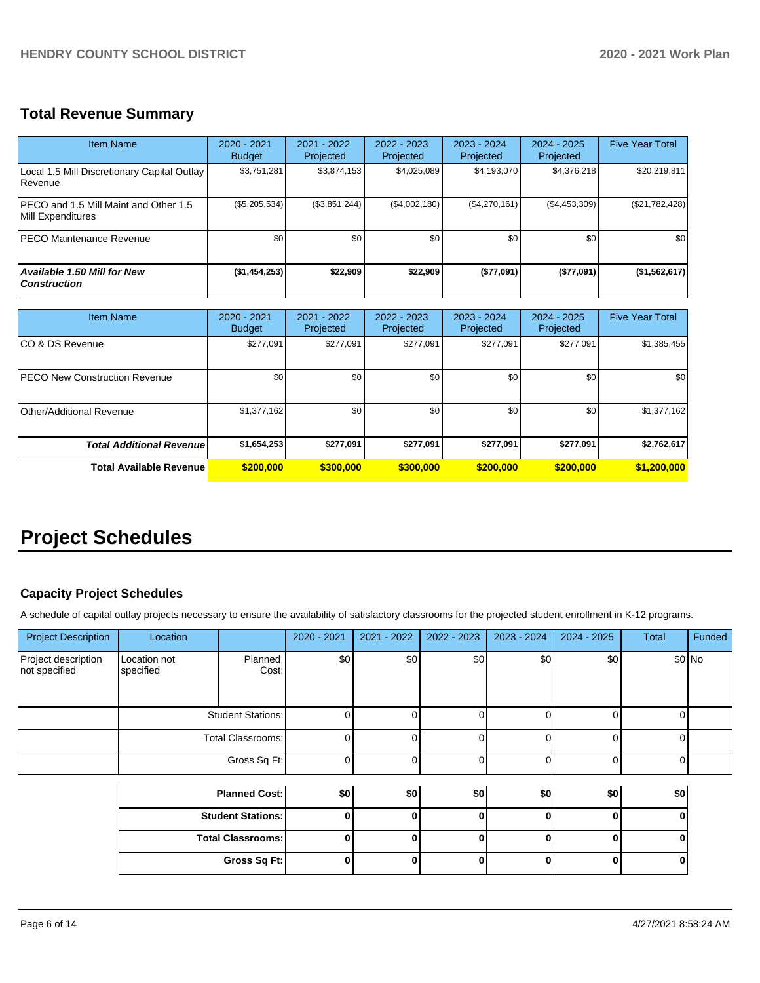# **Total Revenue Summary**

| <b>Item Name</b>                                              | $2020 - 2021$<br><b>Budget</b> | $2021 - 2022$<br>Projected | $2022 - 2023$<br>Projected | 2023 - 2024<br>Projected | $2024 - 2025$<br>Projected | <b>Five Year Total</b> |
|---------------------------------------------------------------|--------------------------------|----------------------------|----------------------------|--------------------------|----------------------------|------------------------|
| Local 1.5 Mill Discretionary Capital Outlay<br><b>Revenue</b> | \$3,751,281                    | \$3,874,153                | \$4,025,089                | \$4,193,070              | \$4,376,218                | \$20,219,811           |
| IPECO and 1.5 Mill Maint and Other 1.5<br>Mill Expenditures   | $(\$5,205,534)$                | (\$3,851,244)              | (\$4,002,180)              | (\$4,270,161)            | (\$4,453,309)              | $(\$21,782,428)$       |
| <b>PECO Maintenance Revenue</b>                               | \$0                            | \$0 <sub>1</sub>           | \$0                        | \$0                      | \$0                        | \$0                    |
| <b>Available 1.50 Mill for New</b><br><b>Construction</b>     | (\$1,454,253)                  | \$22,909                   | \$22,909                   | (\$77,091)               | (\$77,091)                 | (\$1,562,617)          |

| <b>Item Name</b>                      | 2020 - 2021<br><b>Budget</b> | 2021 - 2022<br>Projected | 2022 - 2023<br>Projected | 2023 - 2024<br>Projected | 2024 - 2025<br>Projected | <b>Five Year Total</b> |
|---------------------------------------|------------------------------|--------------------------|--------------------------|--------------------------|--------------------------|------------------------|
| ICO & DS Revenue                      | \$277,091                    | \$277,091                | \$277,091                | \$277,091                | \$277,091                | \$1,385,455            |
| <b>IPECO New Construction Revenue</b> | \$0                          | \$0                      | \$0                      | \$0                      | \$0                      | \$0                    |
| Other/Additional Revenue              | \$1,377,162                  | \$0 <sub>1</sub>         | \$0 <sub>1</sub>         | \$0                      | \$0                      | \$1,377,162            |
| <b>Total Additional Revenuel</b>      | \$1,654,253                  | \$277,091                | \$277,091                | \$277,091                | \$277,091                | \$2,762,617            |
| <b>Total Available Revenue</b>        | \$200,000                    | \$300,000                | \$300,000                | \$200,000                | \$200,000                | \$1,200,000            |

# **Project Schedules**

# **Capacity Project Schedules**

A schedule of capital outlay projects necessary to ensure the availability of satisfactory classrooms for the projected student enrollment in K-12 programs.

| <b>Project Description</b>           | Location                  |                            | 2020 - 2021 | 2021 - 2022 | 2022 - 2023 | 2023 - 2024 | 2024 - 2025 | Total  | Funded  |
|--------------------------------------|---------------------------|----------------------------|-------------|-------------|-------------|-------------|-------------|--------|---------|
| Project description<br>not specified | Location not<br>specified | Planned<br>Cost:           | \$0         | \$0         | \$0         | \$0         | \$0         |        | $$0$ No |
|                                      |                           | <b>Student Stations:</b>   |             |             |             |             | 0           |        |         |
|                                      |                           | Total Classrooms:          |             |             |             |             | 0           |        |         |
|                                      |                           | Gross Sq Ft:               |             |             |             |             |             |        |         |
|                                      |                           | $M = 0.025$ and $M = 0.01$ | $\sim$      | $\sim$      | $\sim$      | $\sim$      | $\sim$      | $\sim$ |         |

| <b>Planned Cost:</b>     | \$0 | \$0 | \$0 | \$0 | \$0 | ا 30 |
|--------------------------|-----|-----|-----|-----|-----|------|
| <b>Student Stations:</b> |     |     |     |     |     |      |
| <b>Total Classrooms:</b> |     |     |     |     |     |      |
| Gross Sq Ft:             |     |     |     |     |     |      |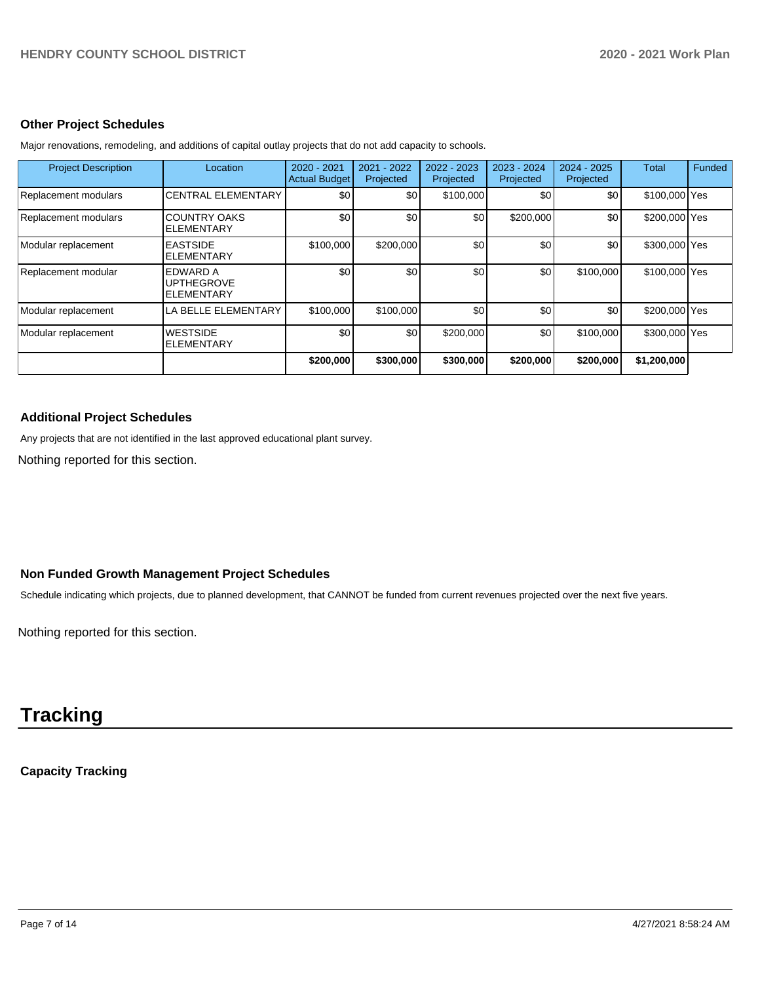#### **Other Project Schedules**

| <b>Project Description</b> | Location                                           | 2020 - 2021<br><b>Actual Budget</b> | 2021 - 2022<br>Projected | 2022 - 2023<br>Projected | 2023 - 2024<br>Projected | $2024 - 2025$<br>Projected | Total         | <b>Funded</b> |
|----------------------------|----------------------------------------------------|-------------------------------------|--------------------------|--------------------------|--------------------------|----------------------------|---------------|---------------|
| Replacement modulars       | <b>CENTRAL ELEMENTARY</b>                          | \$0                                 | \$0                      | \$100,000                | \$0                      | \$0                        | \$100,000 Yes |               |
| Replacement modulars       | <b>COUNTRY OAKS</b><br><b>ELEMENTARY</b>           | \$0                                 | \$0                      | \$0                      | \$200,000                | \$0                        | \$200,000 Yes |               |
| Modular replacement        | <b>EASTSIDE</b><br><b>ELEMENTARY</b>               | \$100,000                           | \$200,000                | \$0                      | \$0                      | \$0 <sub>1</sub>           | \$300,000 Yes |               |
| Replacement modular        | EDWARD A<br><b>UPTHEGROVE</b><br><b>ELEMENTARY</b> | \$0                                 | \$0                      | \$0                      | \$0                      | \$100,000                  | \$100,000 Yes |               |
| Modular replacement        | LA BELLE ELEMENTARY                                | \$100,000                           | \$100,000                | \$0                      | \$0                      | \$0                        | \$200,000 Yes |               |
| Modular replacement        | <b>WESTSIDE</b><br><b>ELEMENTARY</b>               | \$0                                 | \$0                      | \$200,000                | \$0                      | \$100,000                  | \$300,000 Yes |               |
|                            |                                                    | \$200,000                           | \$300,000                | \$300,000                | \$200,000                | \$200,000                  | \$1,200,000   |               |

Major renovations, remodeling, and additions of capital outlay projects that do not add capacity to schools.

### **Additional Project Schedules**

Any projects that are not identified in the last approved educational plant survey.

Nothing reported for this section.

# **Non Funded Growth Management Project Schedules**

Schedule indicating which projects, due to planned development, that CANNOT be funded from current revenues projected over the next five years.

Nothing reported for this section.

# **Tracking**

# **Capacity Tracking**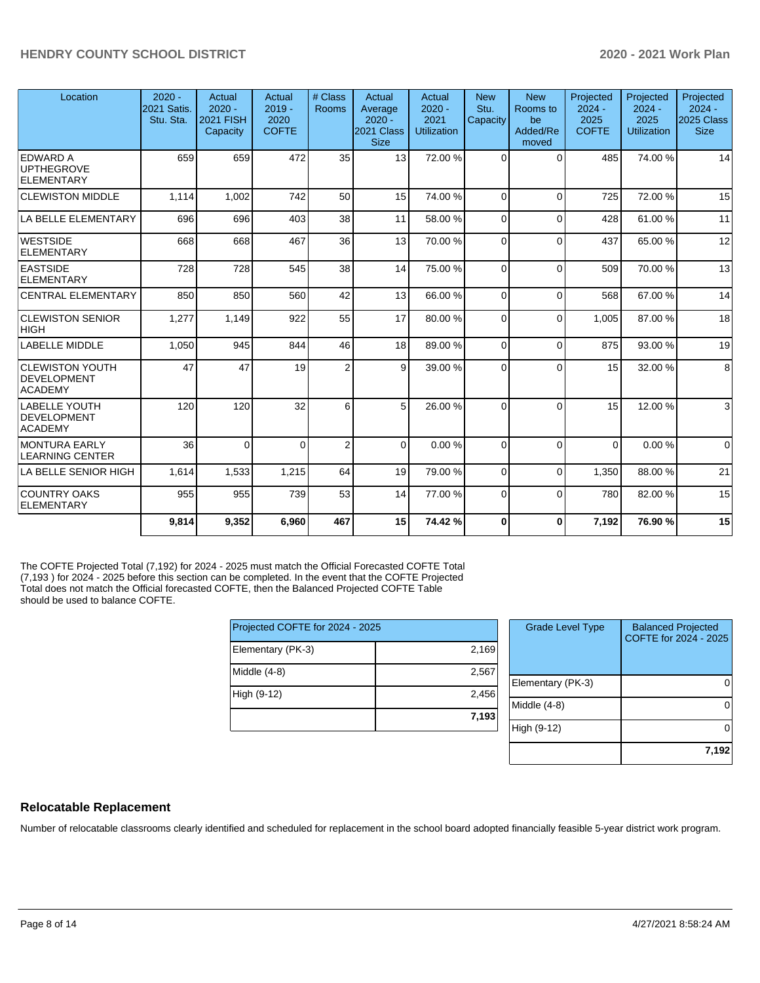| Location                                                | $2020 -$<br>2021 Satis.<br>Stu. Sta. | Actual<br>$2020 -$<br><b>2021 FISH</b><br>Capacity | Actual<br>$2019 -$<br>2020<br><b>COFTE</b> | # Class<br>Rooms | Actual<br>Average<br>$2020 -$<br>2021 Class<br><b>Size</b> | Actual<br>$2020 -$<br>2021<br>Utilization | <b>New</b><br>Stu.<br>Capacity | <b>New</b><br>Rooms to<br>be<br>Added/Re<br>moved | Projected<br>$2024 -$<br>2025<br><b>COFTE</b> | Projected<br>$2024 -$<br>2025<br>Utilization | Projected<br>$2024 -$<br><b>2025 Class</b><br><b>Size</b> |
|---------------------------------------------------------|--------------------------------------|----------------------------------------------------|--------------------------------------------|------------------|------------------------------------------------------------|-------------------------------------------|--------------------------------|---------------------------------------------------|-----------------------------------------------|----------------------------------------------|-----------------------------------------------------------|
| EDWARD A<br><b>UPTHEGROVE</b><br>ELEMENTARY             | 659                                  | 659                                                | 472                                        | 35               | 13 <sup>1</sup>                                            | 72.00 %                                   | $\Omega$                       | $\Omega$                                          | 485                                           | 74.00%                                       | 14                                                        |
| <b>CLEWISTON MIDDLE</b>                                 | 1.114                                | 1,002                                              | 742                                        | 50               | 15                                                         | 74.00%                                    | $\Omega$                       | $\Omega$                                          | 725                                           | 72.00 %                                      | 15                                                        |
| LA BELLE ELEMENTARY                                     | 696                                  | 696                                                | 403                                        | 38               | 11                                                         | 58.00 %                                   | $\Omega$                       | $\Omega$                                          | 428                                           | 61.00%                                       | 11                                                        |
| <b>WESTSIDE</b><br>ELEMENTARY                           | 668                                  | 668                                                | 467                                        | 36               | 13                                                         | 70.00 %                                   | $\Omega$                       | $\Omega$                                          | 437                                           | 65.00 %                                      | 12                                                        |
| <b>EASTSIDE</b><br><b>ELEMENTARY</b>                    | 728                                  | 728                                                | 545                                        | 38               | 14                                                         | 75.00 %                                   | $\Omega$                       | $\Omega$                                          | 509                                           | 70.00%                                       | 13                                                        |
| <b>CENTRAL ELEMENTARY</b>                               | 850                                  | 850                                                | 560                                        | 42               | 13                                                         | 66.00 %                                   | $\Omega$                       | $\Omega$                                          | 568                                           | 67.00 %                                      | 14                                                        |
| <b>CLEWISTON SENIOR</b><br> HIGH                        | 1,277                                | 1,149                                              | 922                                        | 55               | 17                                                         | 80.00 %                                   | $\Omega$                       | $\Omega$                                          | 1.005                                         | 87.00 %                                      | 18                                                        |
| LABELLE MIDDLE                                          | 1,050                                | 945                                                | 844                                        | 46               | 18                                                         | 89.00 %                                   | $\Omega$                       | $\Omega$                                          | 875                                           | 93.00 %                                      | 19                                                        |
| <b>CLEWISTON YOUTH</b><br>DEVELOPMENT<br><b>ACADEMY</b> | 47                                   | 47                                                 | 19                                         | $\overline{2}$   | 9                                                          | 39.00 %                                   | $\Omega$                       | $\Omega$                                          | 15                                            | 32.00 %                                      | 8                                                         |
| LABELLE YOUTH<br><b>DEVELOPMENT</b><br><b>ACADEMY</b>   | 120                                  | 120                                                | 32                                         | 6                | 5 <sup>1</sup>                                             | 26.00 %                                   | $\Omega$                       | $\Omega$                                          | 15                                            | 12.00 %                                      | $\mathbf{3}$                                              |
| MONTURA EARLY<br><b>LEARNING CENTER</b>                 | 36                                   | $\Omega$                                           | $\Omega$                                   | $\overline{2}$   | $\Omega$                                                   | 0.00%                                     | $\Omega$                       | $\Omega$                                          | $\Omega$                                      | 0.00%                                        | $\overline{0}$                                            |
| LA BELLE SENIOR HIGH                                    | 1,614                                | 1,533                                              | 1,215                                      | 64               | 19                                                         | 79.00 %                                   | $\Omega$                       | $\Omega$                                          | 1,350                                         | 88.00 %                                      | 21                                                        |
| <b>COUNTRY OAKS</b><br>ELEMENTARY                       | 955                                  | 955                                                | 739                                        | 53               | 14                                                         | 77.00 %                                   | $\Omega$                       | $\Omega$                                          | 780                                           | 82.00%                                       | 15                                                        |
|                                                         | 9,814                                | 9,352                                              | 6,960                                      | 467              | 15                                                         | 74.42%                                    | $\bf{0}$                       | $\bf{0}$                                          | 7,192                                         | 76.90 %                                      | 15                                                        |

The COFTE Projected Total (7,192) for 2024 - 2025 must match the Official Forecasted COFTE Total (7,193 ) for 2024 - 2025 before this section can be completed. In the event that the COFTE Projected Total does not match the Official forecasted COFTE, then the Balanced Projected COFTE Table should be used to balance COFTE.

| Projected COFTE for 2024 - 2025 |       | <b>Grade Level Type</b> |
|---------------------------------|-------|-------------------------|
| Elementary (PK-3)               | 2.169 |                         |
| Middle (4-8)                    | 2,567 | Elementary (PK-3)       |
| High (9-12)                     | 2.456 | Middle (4-8)            |
|                                 | 7,193 | High (9-12)             |

| <b>Grade Level Type</b> | <b>Balanced Projected</b><br>COFTE for 2024 - 2025 |
|-------------------------|----------------------------------------------------|
| Elementary (PK-3)       |                                                    |
| Middle $(4-8)$          |                                                    |
| High (9-12)             |                                                    |
|                         | 7,192                                              |

#### **Relocatable Replacement**

Number of relocatable classrooms clearly identified and scheduled for replacement in the school board adopted financially feasible 5-year district work program.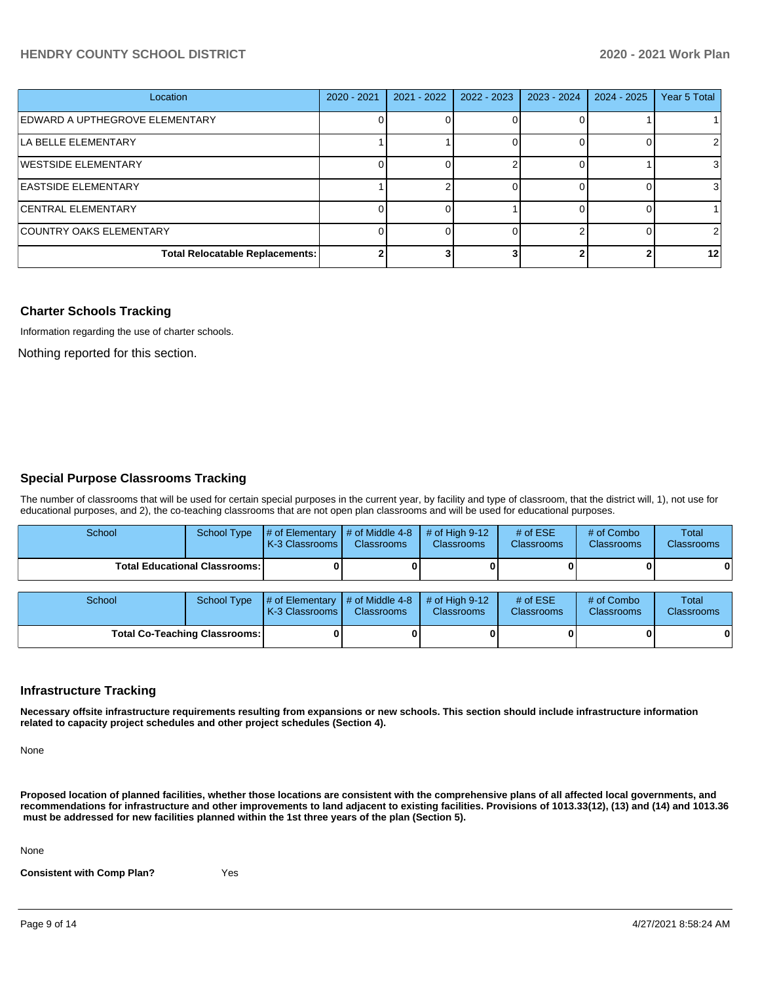### **HENDRY COUNTY SCHOOL DISTRICT 2020 - 2021 Work Plan**

| Location                               | $2020 - 2021$ | $2021 - 2022$ | $2022 - 2023$ | 2023 - 2024 | 2024 - 2025 | Year 5 Total    |
|----------------------------------------|---------------|---------------|---------------|-------------|-------------|-----------------|
| EDWARD A UPTHEGROVE ELEMENTARY         |               |               |               |             |             |                 |
| LA BELLE ELEMENTARY                    |               |               |               |             |             |                 |
| WESTSIDE ELEMENTARY                    |               |               |               |             |             |                 |
| <b>EASTSIDE ELEMENTARY</b>             |               |               |               |             |             |                 |
| <b>CENTRAL ELEMENTARY</b>              |               |               |               |             |             |                 |
| COUNTRY OAKS ELEMENTARY                |               |               |               |             |             | $\mathcal{P}$   |
| <b>Total Relocatable Replacements:</b> |               |               |               |             |             | 12 <sub>l</sub> |

#### **Charter Schools Tracking**

Information regarding the use of charter schools.

Nothing reported for this section.

#### **Special Purpose Classrooms Tracking**

The number of classrooms that will be used for certain special purposes in the current year, by facility and type of classroom, that the district will, 1), not use for educational purposes, and 2), the co-teaching classrooms that are not open plan classrooms and will be used for educational purposes.

| School                                 | School Type | $\parallel$ # of Elementary $\parallel$ # of Middle 4-8 $\parallel$ # of High 9-12<br><b>K-3 Classrooms I</b> | <b>Classrooms</b> | <b>Classrooms</b> | # of $ESE$<br><b>Classrooms</b> | # of Combo<br>Classrooms | Total<br><b>Classrooms</b> |
|----------------------------------------|-------------|---------------------------------------------------------------------------------------------------------------|-------------------|-------------------|---------------------------------|--------------------------|----------------------------|
| <b>Total Educational Classrooms: I</b> |             |                                                                                                               |                   |                   |                                 |                          | 0                          |

| School                               | School Type $\frac{1}{4}$ of Elementary $\frac{1}{4}$ of Middle 4-8 $\frac{1}{4}$ of High 9-12<br><b>K-3 Classrooms I</b> | <b>Classrooms</b> | <b>Classrooms</b> | $#$ of ESE<br><b>Classrooms</b> | # of Combo<br><b>Classrooms</b> | <b>Total</b><br><b>Classrooms</b> |
|--------------------------------------|---------------------------------------------------------------------------------------------------------------------------|-------------------|-------------------|---------------------------------|---------------------------------|-----------------------------------|
| <b>Total Co-Teaching Classrooms:</b> |                                                                                                                           |                   |                   |                                 |                                 | 0                                 |

#### **Infrastructure Tracking**

**Necessary offsite infrastructure requirements resulting from expansions or new schools. This section should include infrastructure information related to capacity project schedules and other project schedules (Section 4).** 

None

**Proposed location of planned facilities, whether those locations are consistent with the comprehensive plans of all affected local governments, and recommendations for infrastructure and other improvements to land adjacent to existing facilities. Provisions of 1013.33(12), (13) and (14) and 1013.36** must be addressed for new facilities planned within the 1st three years of the plan (Section 5).

None

**Consistent with Comp Plan?** Yes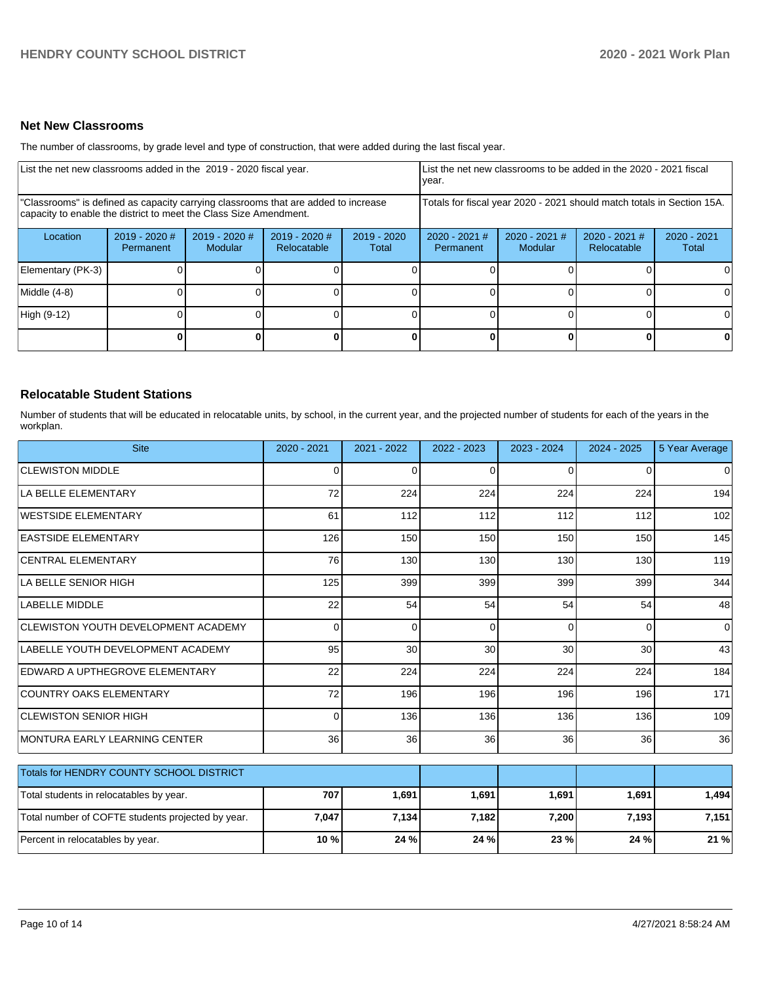### **Net New Classrooms**

The number of classrooms, by grade level and type of construction, that were added during the last fiscal year.

| List the net new classrooms added in the 2019 - 2020 fiscal year.                                                                                       |                                     |                            |                                |                        | List the net new classrooms to be added in the 2020 - 2021 fiscal<br>year. |                          |                                |                        |
|---------------------------------------------------------------------------------------------------------------------------------------------------------|-------------------------------------|----------------------------|--------------------------------|------------------------|----------------------------------------------------------------------------|--------------------------|--------------------------------|------------------------|
| "Classrooms" is defined as capacity carrying classrooms that are added to increase<br>capacity to enable the district to meet the Class Size Amendment. |                                     |                            |                                |                        | Totals for fiscal year 2020 - 2021 should match totals in Section 15A.     |                          |                                |                        |
| Location                                                                                                                                                | $2019 - 2020$ #<br><b>Permanent</b> | $2019 - 2020$ #<br>Modular | $2019 - 2020$ #<br>Relocatable | $2019 - 2020$<br>Total | $2020 - 2021$ #<br>Permanent                                               | 2020 - 2021 #<br>Modular | $2020 - 2021$ #<br>Relocatable | $2020 - 2021$<br>Total |
| Elementary (PK-3)                                                                                                                                       |                                     |                            |                                |                        |                                                                            |                          |                                |                        |
| Middle (4-8)                                                                                                                                            |                                     |                            |                                |                        |                                                                            |                          |                                | ΩI                     |
| High (9-12)                                                                                                                                             |                                     |                            |                                |                        |                                                                            |                          |                                |                        |
|                                                                                                                                                         |                                     |                            |                                | 0                      |                                                                            |                          | $\mathbf{0}$                   | 0                      |

#### **Relocatable Student Stations**

Number of students that will be educated in relocatable units, by school, in the current year, and the projected number of students for each of the years in the workplan.

| <b>Site</b>                                       | 2020 - 2021     | 2021 - 2022 | 2022 - 2023 | 2023 - 2024 | $2024 - 2025$ | 5 Year Average |
|---------------------------------------------------|-----------------|-------------|-------------|-------------|---------------|----------------|
| <b>CLEWISTON MIDDLE</b>                           | 0               | C           | 0           | 0           | 0             | 0              |
| LA BELLE ELEMENTARY                               | 72              | 224         | 224         | 224         | 224           | 194            |
| <b>WESTSIDE ELEMENTARY</b>                        | 61              | 112         | 112         | 112         | 112           | 102            |
| <b>EASTSIDE ELEMENTARY</b>                        | 126             | 150         | 150         | 150         | 150           | 145            |
| <b>CENTRAL ELEMENTARY</b>                         | 76              | 130         | 130         | 130         | 130           | 119            |
| LA BELLE SENIOR HIGH                              | 125             | 399         | 399         | 399         | 399           | 344            |
| LABELLE MIDDLE                                    | 22              | 54          | 54          | 54          | 54            | 48             |
| CLEWISTON YOUTH DEVELOPMENT ACADEMY               | $\Omega$        | $\Omega$    | $\Omega$    | $\Omega$    | $\Omega$      | $\mathbf 0$    |
| LABELLE YOUTH DEVELOPMENT ACADEMY                 | 95              | 30          | 30          | 30          | 30            | 43             |
| EDWARD A UPTHEGROVE ELEMENTARY                    | 22              | 224         | 224         | 224         | 224           | 184            |
| <b>COUNTRY OAKS ELEMENTARY</b>                    | 72              | 196         | 196         | 196         | 196           | 171            |
| <b>CLEWISTON SENIOR HIGH</b>                      | $\Omega$        | 136         | 136         | 136         | 136           | 109            |
| <b>MONTURA EARLY LEARNING CENTER</b>              | 36 <sup>1</sup> | 36          | 36          | 36          | 36            | 36             |
| Totals for HENDRY COUNTY SCHOOL DISTRICT          |                 |             |             |             |               |                |
| Total students in relocatables by year.           | 707             | 1,691       | 1,691       | 1,691       | 1,691         | 1,494          |
| Total number of COFTE students projected by year. | 7,047           | 7,134       | 7,182       | 7,200       | 7,193         | 7,151          |
| Percent in relocatables by year.                  | 10 %            | 24 %        | 24 %        | 23 %        | 24 %          | 21 %           |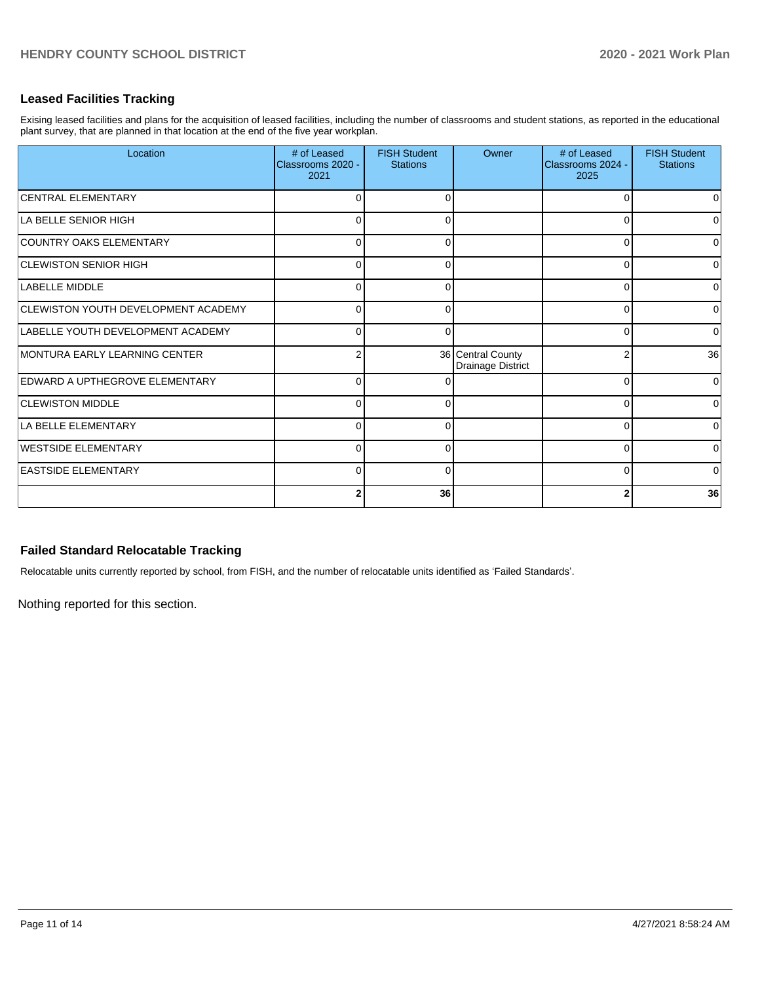# **Leased Facilities Tracking**

Exising leased facilities and plans for the acquisition of leased facilities, including the number of classrooms and student stations, as reported in the educational plant survey, that are planned in that location at the end of the five year workplan.

| Location                                   | # of Leased<br>Classrooms 2020 -<br>2021 | <b>FISH Student</b><br><b>Stations</b> | Owner                                  | # of Leased<br>Classrooms 2024 -<br>2025 | <b>FISH Student</b><br><b>Stations</b> |
|--------------------------------------------|------------------------------------------|----------------------------------------|----------------------------------------|------------------------------------------|----------------------------------------|
| <b>CENTRAL ELEMENTARY</b>                  | O                                        | $\Omega$                               |                                        | ∩                                        | 0                                      |
| LA BELLE SENIOR HIGH                       | U                                        | ∩                                      |                                        |                                          | $\overline{0}$                         |
| COUNTRY OAKS ELEMENTARY                    | 0                                        | 0                                      |                                        | $\Omega$                                 | 0                                      |
| <b>CLEWISTON SENIOR HIGH</b>               | $\Omega$                                 | <sup>0</sup>                           |                                        | $\Omega$                                 | $\Omega$                               |
| LABELLE MIDDLE                             | $\Omega$                                 |                                        |                                        | ∩                                        | 0                                      |
| <b>CLEWISTON YOUTH DEVELOPMENT ACADEMY</b> | $\Omega$                                 | 0                                      |                                        | 0                                        | $\overline{0}$                         |
| LABELLE YOUTH DEVELOPMENT ACADEMY          | $\Omega$                                 | 0                                      |                                        | $\Omega$                                 | $\Omega$                               |
| MONTURA EARLY LEARNING CENTER              | 2                                        |                                        | 36 Central County<br>Drainage District | 2                                        | 36                                     |
| <b>EDWARD A UPTHEGROVE ELEMENTARY</b>      | $\Omega$                                 | ∩                                      |                                        | $\Omega$                                 | $\Omega$                               |
| <b>CLEWISTON MIDDLE</b>                    | $\Omega$                                 |                                        |                                        | $\Omega$                                 | 0                                      |
| LA BELLE ELEMENTARY                        | $\Omega$                                 | 0                                      |                                        | 0                                        | $\overline{0}$                         |
| <b>WESTSIDE ELEMENTARY</b>                 | $\Omega$                                 | O                                      |                                        | $\Omega$                                 | $\Omega$                               |
| <b>EASTSIDE ELEMENTARY</b>                 | $\Omega$                                 | O                                      |                                        | U                                        | $\Omega$                               |
|                                            | 2                                        | 36                                     |                                        |                                          | 36                                     |

# **Failed Standard Relocatable Tracking**

Relocatable units currently reported by school, from FISH, and the number of relocatable units identified as 'Failed Standards'.

Nothing reported for this section.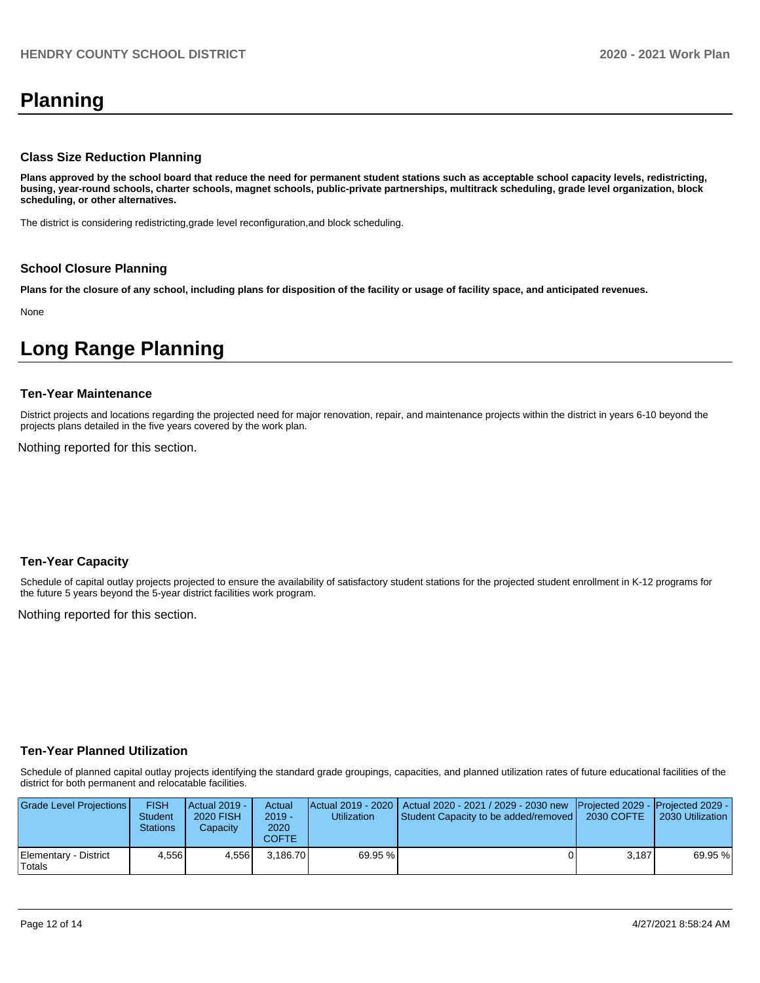# **Planning**

#### **Class Size Reduction Planning**

**Plans approved by the school board that reduce the need for permanent student stations such as acceptable school capacity levels, redistricting, busing, year-round schools, charter schools, magnet schools, public-private partnerships, multitrack scheduling, grade level organization, block scheduling, or other alternatives.**

The district is considering redistricting,grade level reconfiguration,and block scheduling.

#### **School Closure Planning**

**Plans for the closure of any school, including plans for disposition of the facility or usage of facility space, and anticipated revenues.** 

None

# **Long Range Planning**

#### **Ten-Year Maintenance**

District projects and locations regarding the projected need for major renovation, repair, and maintenance projects within the district in years 6-10 beyond the projects plans detailed in the five years covered by the work plan.

Nothing reported for this section.

#### **Ten-Year Capacity**

Schedule of capital outlay projects projected to ensure the availability of satisfactory student stations for the projected student enrollment in K-12 programs for the future 5 years beyond the 5-year district facilities work program.

Nothing reported for this section.

#### **Ten-Year Planned Utilization**

Schedule of planned capital outlay projects identifying the standard grade groupings, capacities, and planned utilization rates of future educational facilities of the district for both permanent and relocatable facilities.

| Grade Level Projections         | <b>FISH</b><br><b>Student</b><br><b>Stations</b> | <b>Actual 2019 -</b><br>2020 FISH<br>Capacity | Actual<br>$2019 -$<br>2020<br>COFTE | Utilization | Actual 2019 - 2020   Actual 2020 - 2021 / 2029 - 2030 new   Projected 2029 -   Projected 2029 -<br>Student Capacity to be added/removed | 2030 COFTE | 2030 Utilization |
|---------------------------------|--------------------------------------------------|-----------------------------------------------|-------------------------------------|-------------|-----------------------------------------------------------------------------------------------------------------------------------------|------------|------------------|
| Elementary - District<br>Totals | 4.556                                            | 4.556                                         | 3.186.70                            | 69.95 %     |                                                                                                                                         | 3.187      | 69.95 %          |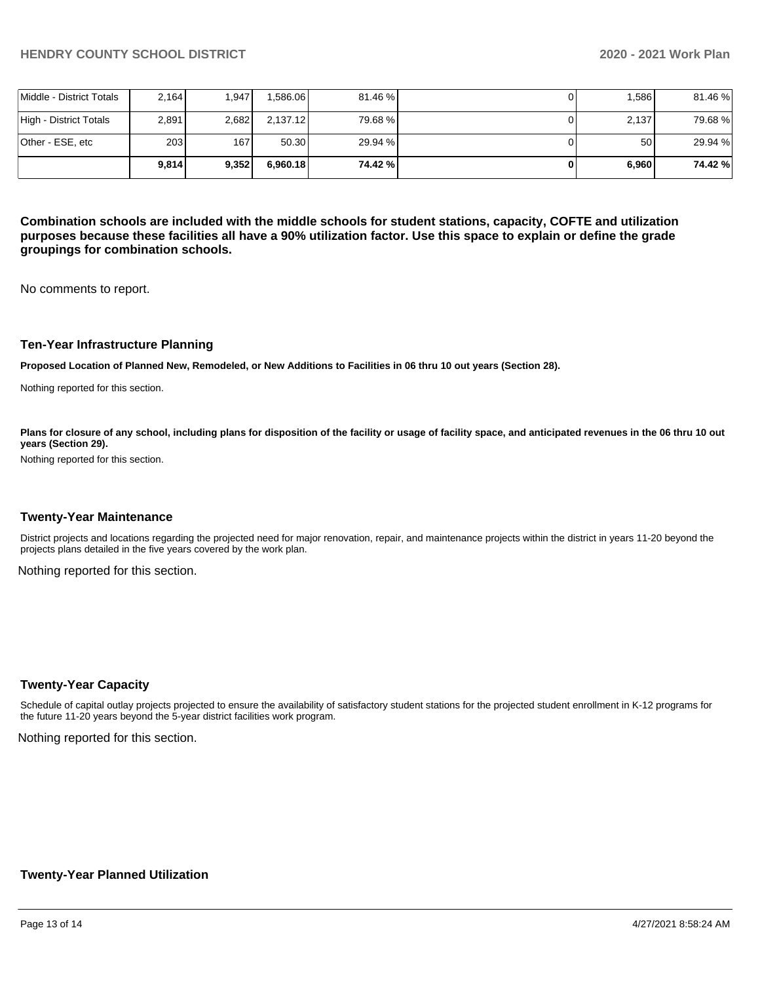|                          | 9.814            | 9.352 | 6.960.18 | 74.42 % | 6,960 | 74.42%  |
|--------------------------|------------------|-------|----------|---------|-------|---------|
| lOther - ESE. etc        | 203 <sub>1</sub> | 167   | 50.30    | 29.94 % | 50    | 29.94 % |
| High - District Totals   | 2.891            | 2,682 | 2,137.12 | 79.68 % | 2.137 | 79.68%  |
| Middle - District Totals | 2.164            | 1.947 | .586.06  | 81.46 % | 1.586 | 81.46 % |

**Combination schools are included with the middle schools for student stations, capacity, COFTE and utilization purposes because these facilities all have a 90% utilization factor. Use this space to explain or define the grade groupings for combination schools.** 

No comments to report.

#### **Ten-Year Infrastructure Planning**

**Proposed Location of Planned New, Remodeled, or New Additions to Facilities in 06 thru 10 out years (Section 28).**

Nothing reported for this section.

Plans for closure of any school, including plans for disposition of the facility or usage of facility space, and anticipated revenues in the 06 thru 10 out **years (Section 29).**

Nothing reported for this section.

#### **Twenty-Year Maintenance**

District projects and locations regarding the projected need for major renovation, repair, and maintenance projects within the district in years 11-20 beyond the projects plans detailed in the five years covered by the work plan.

Nothing reported for this section.

#### **Twenty-Year Capacity**

Schedule of capital outlay projects projected to ensure the availability of satisfactory student stations for the projected student enrollment in K-12 programs for the future 11-20 years beyond the 5-year district facilities work program.

Nothing reported for this section.

#### **Twenty-Year Planned Utilization**